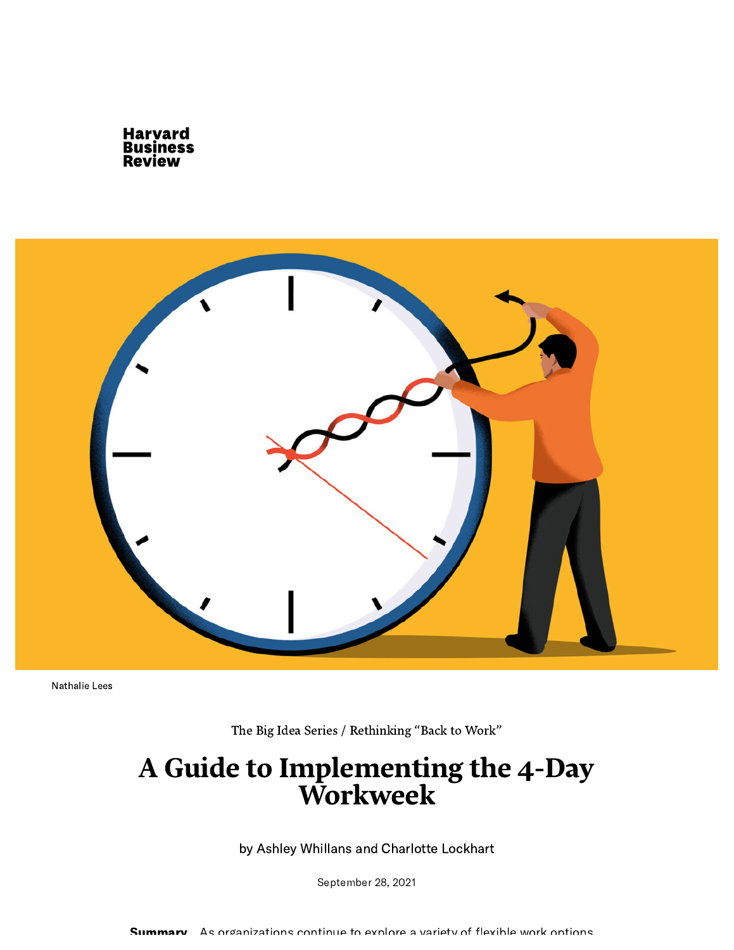

Nathalie Lees

The Big Idea [Series](https://hbr.org/big-ideas) / Rethinking "Back to Work"

# A Guide to Implementing the 4-Day Workweek

by Ashley [Whillans](https://hbr.org/search?term=ashley%20whillans) and [Charlotte](https://hbr.org/search?term=charlotte%20lockhart) Lockhart

September 28, 2021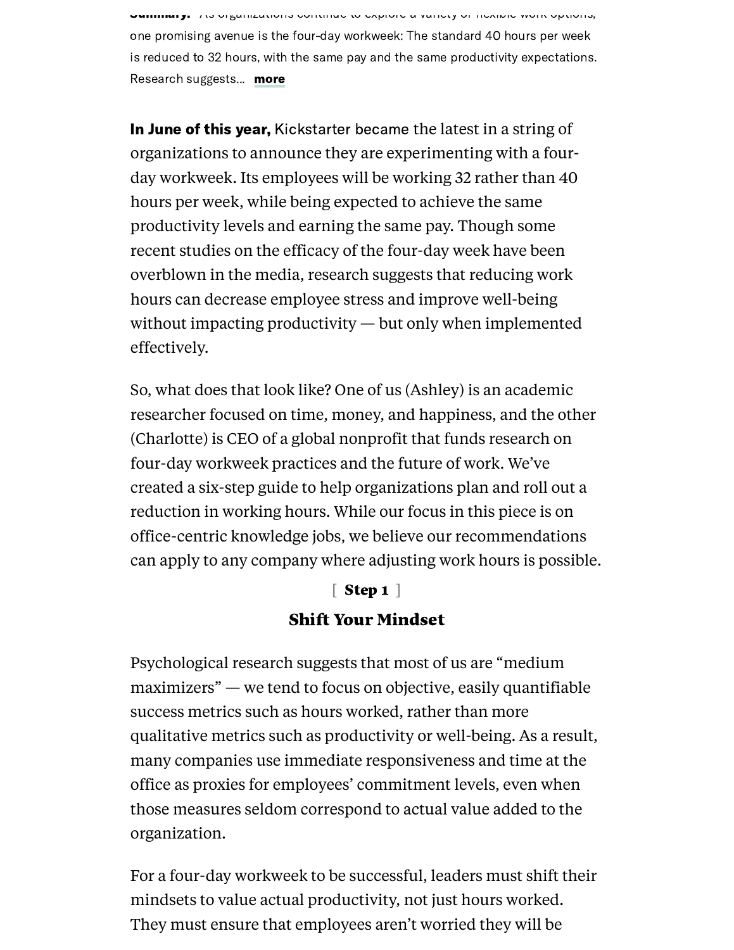**Summary.** As organizations continue to explore a variety or flexible work options, one promising avenue is the four-day workweek: The standard 40 hours per week is reduced to 32 hours, with the same pay and the same productivity expectations. Research suggests... more

In June of this year, Kickstarter became the latest in a string of organizations to announce they are experimenting with a fourday workweek. Its employees will be working 32 rather than 40 hours per week, while being expected to achieve the same productivity levels and earning the same pay. Though some recent studies on the efficacy of the four-day week have been overblown in the media, research suggests that reducing work hours can decrease employee stress and improve well-being without impacting productivity — but only when implemented effectively.

So, what does that look like? One of us (Ashley) is an academic researcher focused on time, money, and [happiness,](https://hbsp.harvard.edu/product/10307-HBK-ENG) and the other (Charlotte) is CEO of a global [nonprofit](https://www.4dayweek.com/) that funds research on four-day workweek practices and the future of work. We've created a six-step guide to help organizations plan and roll out a reduction in working hours. While our focus in this piece is on office-centric knowledge jobs, we believe our recommendations can apply to any company where adjusting work hours is possible.

#### [ Step 1 ]

## Shift Your Mindset

[Psychological](https://www.jstor.org/stable/10.1086/374702) research suggests that most of us are "medium maximizers" — we tend to focus on objective, easily quantifiable success metrics such as hours worked, rather than more qualitative metrics such as productivity or well-being. As a result, many companies use immediate responsiveness and time at the office as proxies for employees' commitment levels, even when those measures seldom correspond to actual value added to the organization.

For a four-day workweek to be successful, leaders must shift their mindsets to value actual productivity, not just hours worked. They must ensure that employees aren't worried they will be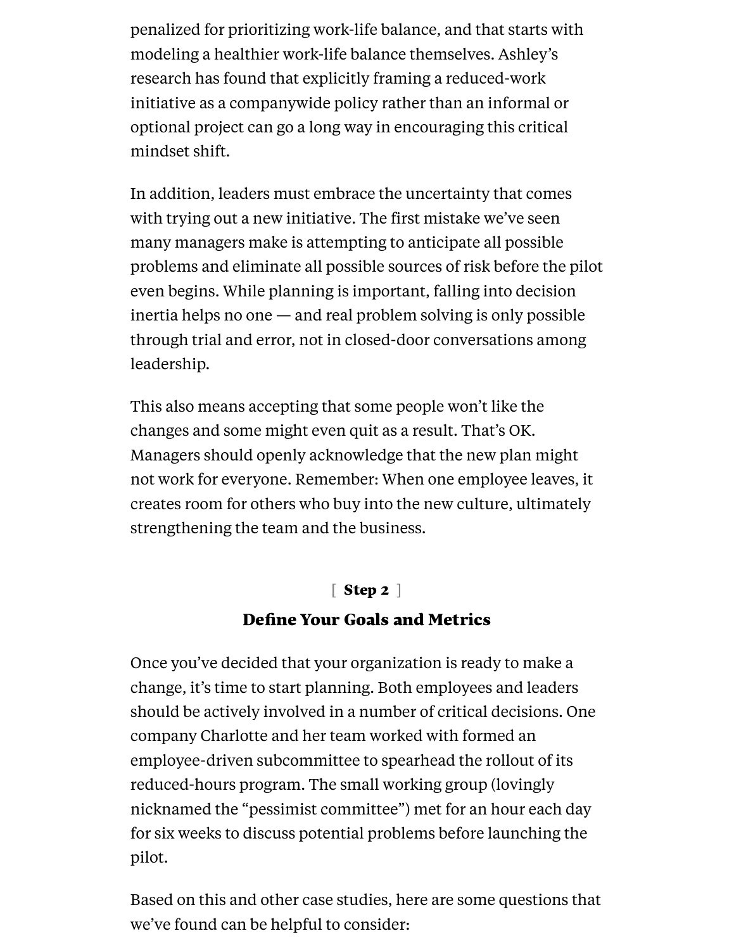penalized for prioritizing work-life balance, and that [starts](https://hbr.org/2019/04/why-we-dont-ask-for-more-time-on-deadlines-but-probably-should) with modeling a healthier work-life balance themselves. Ashley's research has found that explicitly framing a [reduced-work](https://www.hbs.edu/ris/Publication%20Files/21-103_9076f62f-c736-4b88-b23a-3b9e2bdaa069.pdf) initiative as a companywide policy rather than an informal or optional project can go a long way in encouraging this critical mindset shift.

In addition, leaders must embrace the uncertainty that comes with trying out a new initiative. The first mistake we've seen many managers make is attempting to anticipate all possible problems and eliminate all possible sources of risk before the pilot even begins. While planning is [important,](https://www.frontiersin.org/articles/10.3389/fpsyg.2016.00169/full) falling into decision inertia helps no one — and real problem solving is only possible through trial and error, not in closed-door conversations among leadership.

This also means accepting that some people won't like the changes and some might even quit as a result. That's OK. Managers should openly [acknowledge](https://www.hbs.edu/ris/Publication%20Files/20-070_2e73defe-bca1-4983-974a-58bbdfe20682.pdf) that the new plan might not work for everyone. Remember: When one employee leaves, it creates room for others who buy into the new culture, ultimately strengthening the team and the business.

## [ Step 2 ]

## Define Your Goals and Metrics

Once you've decided that your organization is ready to make a change, it's time to start planning. Both employees and leaders should be actively involved in a number of critical decisions. One company Charlotte and her team worked with formed an employee-driven subcommittee to spearhead the rollout of its reduced-hours program. The small working group (lovingly nicknamed the "pessimist committee") met for an hour each day for six weeks to discuss potential problems before launching the pilot.

Based on this and other case studies, here are some questions that we've found can be helpful to consider: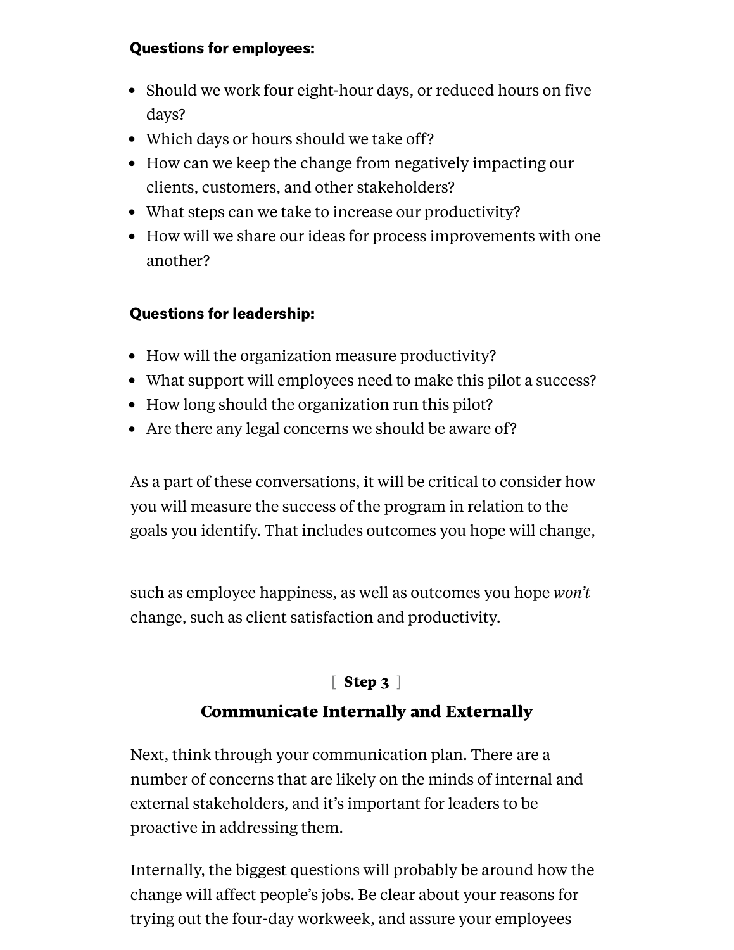## Questions for employees:

- Should we work four eight-hour days, or reduced hours on five days?
- Which days or hours should we take off?
- How can we keep the change from negatively impacting our clients, customers, and other stakeholders?
- What steps can we take to increase our productivity?
- How will we share our ideas for process improvements with one another?

## Questions for leadership:

- How will the organization measure productivity?
- What support will employees need to make this pilot a success?
- How long should the organization run this pilot?
- Are there any legal concerns we should be aware of?

As a part of these conversations, it will be critical to consider how you will [measure](https://hbr.org/2015/10/how-to-design-and-analyze-a-business-experiment) the success of the program in relation to the goals you identify. That includes outcomes you hope will change,

such as employee happiness, as well as outcomes you hope *won't* change, such as client satisfaction and productivity.

# $\lceil$  Step 3  $\rceil$

# Communicate Internally and Externally

Next, think through your communication plan. There are a number of concerns that are likely on the minds of internal and external stakeholders, and it's important for leaders to be proactive in addressing them.

Internally, the biggest questions will probably be around how the change will affect people's jobs. Be clear about your reasons for trying out the four-day workweek, and assure your employees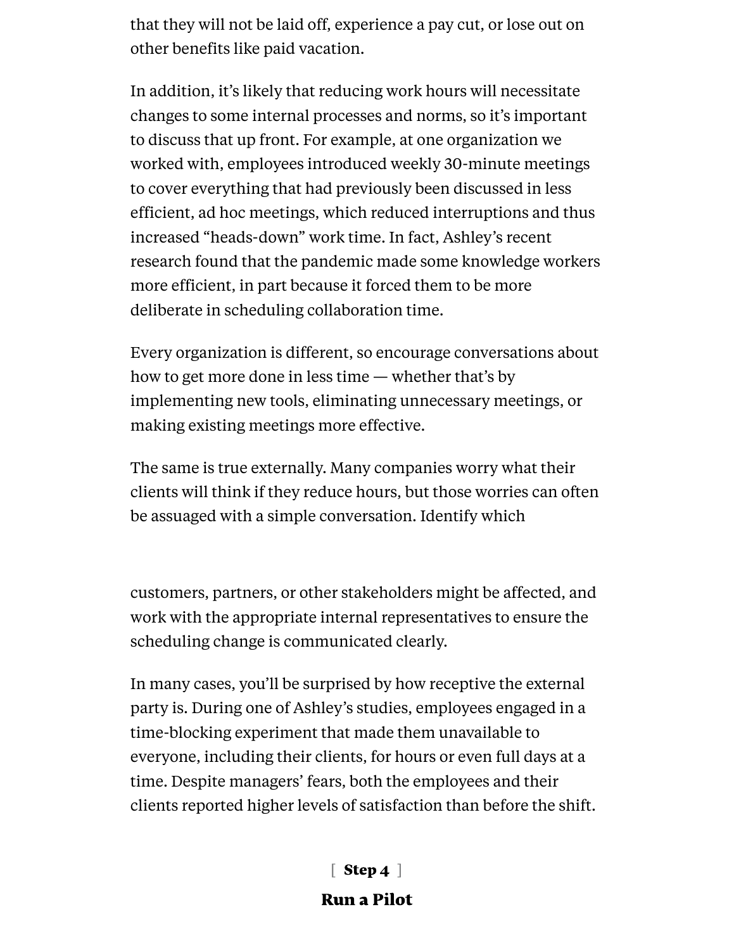that they will not be laid off, experience a pay cut, or lose out on other benefits like paid vacation.

In addition, it's likely that reducing work hours will necessitate changes to some internal processes and norms, so it's important to discuss that up front. For example, at one organization we worked with, employees introduced weekly 30-minute meetings to cover everything that had previously been discussed in less efficient, ad hoc meetings, which reduced interruptions and thus increased ["heads-down"](https://www.sciencedirect.com/science/article/pii/S1471772721000099?via%3Dihub) work time. In fact, Ashley's recent research found that the pandemic made some knowledge workers more efficient, in part because it forced them to be more deliberate in scheduling collaboration time.

Every organization is different, so encourage conversations about how to get more done in less time — whether that's by implementing new tools, eliminating unnecessary meetings, or making existing meetings more effective.

The same is true externally. Many companies worry what their clients will think if they reduce hours, but those worries can often be assuaged with a simple conversation. Identify which

customers, partners, or other stakeholders might be affected, and work with the appropriate internal representatives to ensure the scheduling change is communicated clearly.

In many cases, you'll be surprised by how receptive the external party is. During one of [Ashley's](https://hbr.org/2019/11/getting-your-team-to-do-more-than-meet-deadlines) studies, employees engaged in a time-blocking experiment that made them unavailable to everyone, including their clients, for hours or even full days at a time. Despite managers' fears, both the employees and their clients reported higher levels of satisfaction than before the shift.

> $\lceil$  Step 4  $\rceil$ Run a Pilot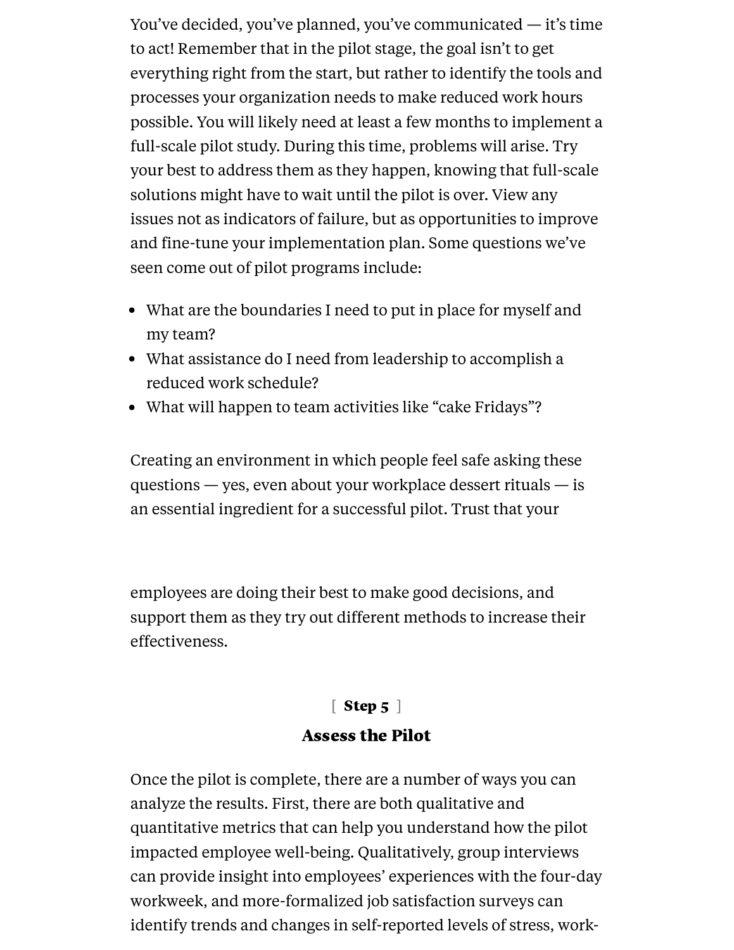You've decided, you've planned, you've communicated — it's time to act! Remember that in the pilot stage, the goal isn't to get everything right from the start, but rather to identify the tools and processes your organization needs to make reduced work hours possible. You will likely need at least a few months to implement a full-scale pilot study. During this time, problems will arise. Try your best to address them as they happen, knowing that full-scale solutions might have to wait until the pilot is over. View any issues not as indicators of failure, but as opportunities to improve and fine-tune your implementation plan. Some questions we've seen come out of pilot programs include:

- What are the boundaries I need to put in place for myself and my team?
- What assistance do I need from leadership to accomplish a reduced work schedule?
- What will happen to team activities like "cake Fridays"?

Creating an environment in which people feel safe asking these questions — yes, even about your workplace dessert rituals — is an essential ingredient for a successful pilot. Trust that your

employees are doing their best to make good decisions, and support them as they try out different methods to increase their effectiveness.

# [ Step 5 ] Assess the Pilot

Once the pilot is complete, there are a number of ways you can analyze the results. First, there are both qualitative and quantitative metrics that can help you understand how the pilot impacted employee well-being. Qualitatively, group interviews can provide insight into employees' experiences with the four-day workweek, and more-formalized job satisfaction surveys can identify trends and changes in self-reported levels of stress, work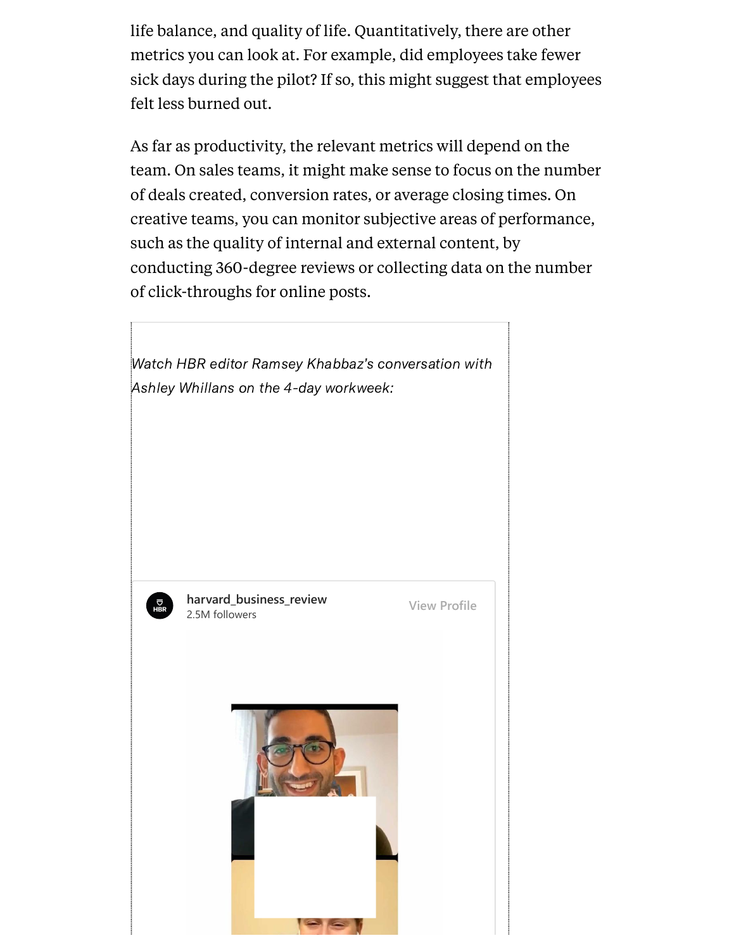life balance, and quality of life. Quantitatively, there are other metrics you can look at. For example, did employees take fewer sick days during the pilot? If so, this might suggest that employees felt less burned out.

As far as productivity, the relevant metrics will depend on the team. On sales teams, it might make sense to focus on the number of deals created, conversion rates, or average closing times. On creative teams, you can monitor subjective areas of performance, such as the quality of internal and external content, by conducting 360-degree reviews or collecting data on the number of click-throughs for online posts.

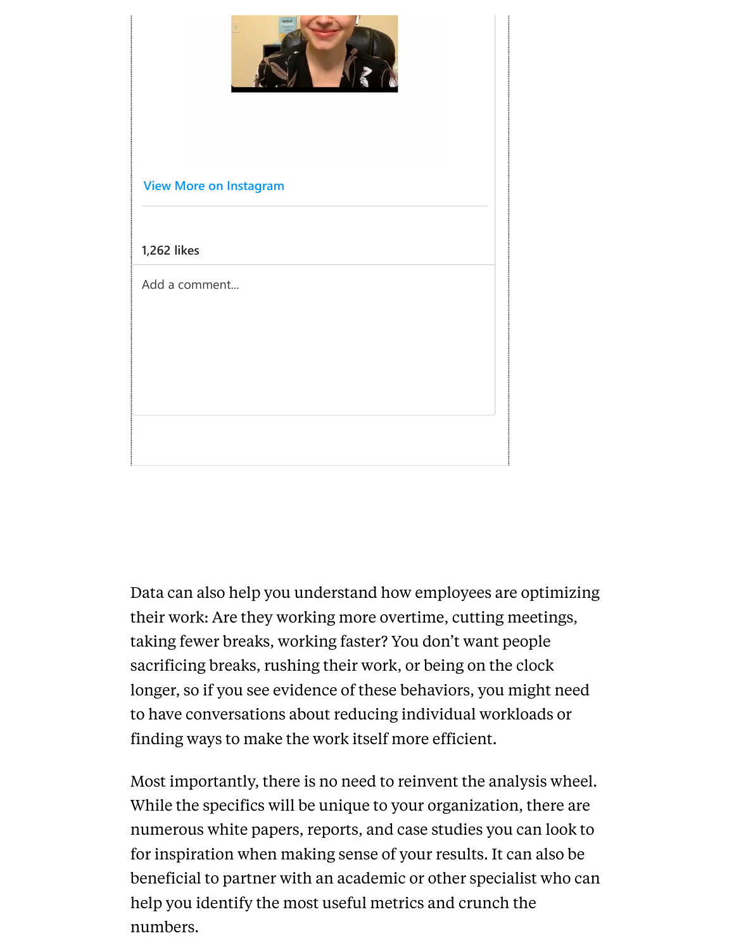| <b>View More on Instagram</b> |
|-------------------------------|
|                               |
| 1,262 likes                   |
| Add a comment                 |
|                               |
|                               |
|                               |
|                               |
|                               |

Data can also help you understand how employees are optimizing their work: Are they working more overtime, cutting meetings, taking fewer breaks, working faster? You don't want people sacrificing breaks, rushing their work, or being on the clock longer, so if you see evidence of these behaviors, you might need to have conversations about reducing individual workloads or finding ways to make the work itself more efficient.

Most importantly, there is no need to reinvent the analysis wheel. While the specifics will be unique to your organization, there are numerous white [papers](https://www.4dayweek.com/research-articles/going-public-icelands-journey), [reports,](https://www.4dayweek.com/case-studies-more/Welcome-jungle) and case [studies](https://employeebenefits.co.uk/mrl-95-staff-retention-four-day-week/) you can look to for inspiration when making sense of your results. It can also be beneficial to partner with an academic or other specialist who can help you identify the most useful metrics and crunch the numbers.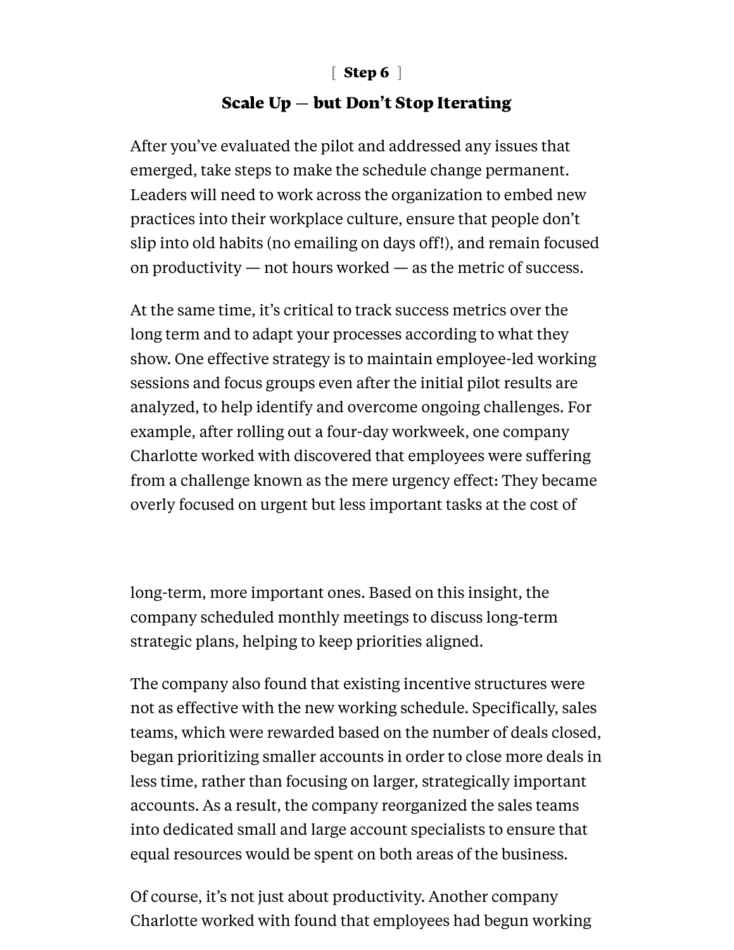#### $\lceil$  Step 6  $\rceil$

# Scale Up — but Don't Stop Iterating

After you've evaluated the pilot and addressed any issues that emerged, take steps to make the schedule change permanent. Leaders will need to work across the organization to embed new practices into their workplace culture, ensure that people don't slip into old habits (no emailing on days off!), and remain focused on productivity — not hours worked — as the metric of success.

At the same time, it's critical to track success metrics over the long term and to adapt your processes according to what they show. One effective strategy is to maintain employee-led working sessions and focus groups even after the initial pilot results are analyzed, to help identify and overcome ongoing challenges. For example, after rolling out a four-day workweek, one company Charlotte worked with discovered that employees were suffering from a challenge known as the mere [urgency](https://www.researchgate.net/profile/Yang-Yang-355/publication/327103570_The_Mere_Urgency_Effect/links/5fe35ee0a6fdccdcb8f592b5/The-Mere-Urgency-Effect.pdf) effect: They became overly focused on urgent but less important tasks at the cost of

long-term, more important ones. Based on this insight, the company scheduled monthly meetings to discuss long-term strategic plans, helping to keep priorities aligned.

The company also found that existing incentive structures were not as effective with the new working schedule. Specifically, sales teams, which were rewarded based on the number of deals closed, began prioritizing smaller accounts in order to close more deals in less time, rather than focusing on larger, strategically important accounts. As a result, the company reorganized the sales teams into dedicated small and large account specialists to ensure that equal resources would be spent on both areas of the business.

Of course, it's not just about productivity. Another company Charlotte worked with found that employees had begun working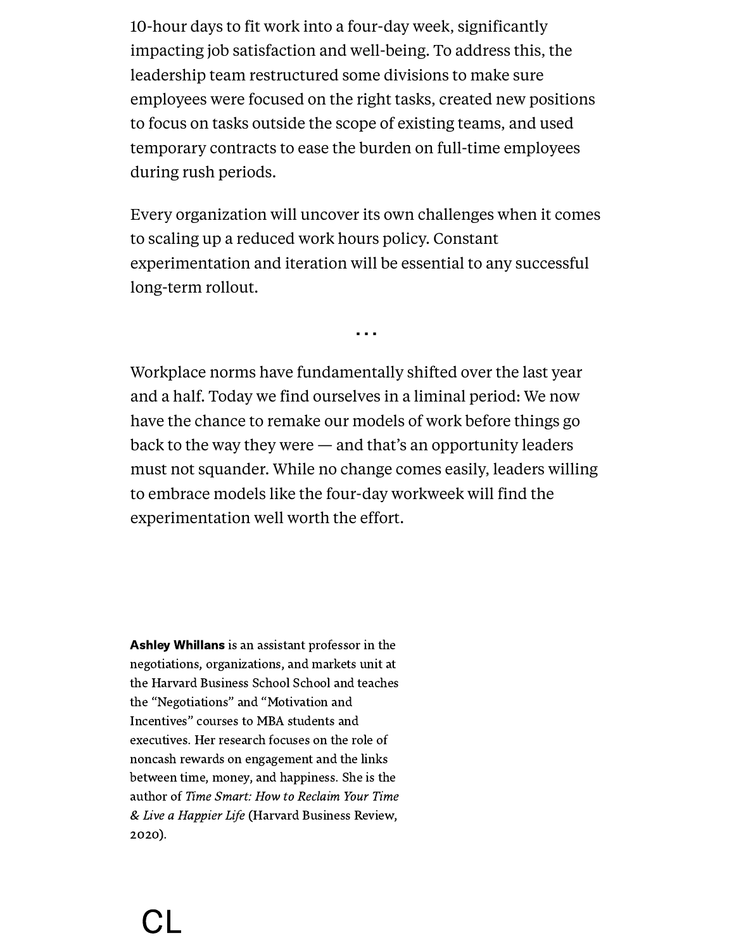10-hour days to fit work into a four-day week, significantly impacting job satisfaction and well-being. To address this, the leadership team restructured some divisions to make sure employees were focused on the right tasks, created new positions to focus on tasks outside the scope of existing teams, and used temporary contracts to ease the burden on full-time employees during rush periods.

Every organization will uncover its own challenges when it comes to scaling up a reduced work hours policy. Constant experimentation and iteration will be essential to any successful long-term rollout.

. . .

Workplace norms have fundamentally shifted over the last year and a half. Today we find ourselves in a [liminal](https://hbr.org/2021/03/how-has-the-past-year-changed-you-and-your-organization) period: We now have the chance to remake our models of work before things go back to the way they were — and that's an opportunity leaders must not squander. While no change comes easily, leaders willing to embrace models like the four-day workweek will find the experimentation well worth the effort.

Ashley [Whillans](https://hbr.org/search?term=ashley%20whillans&search_type=search-all) is an assistant professor in the negotiations, organizations, and markets unit at the Harvard Business School School and teaches the "Negotiations" and "Motivation and Incentives" courses to MBA students and executives. Her research focuses on the role of noncash rewards on engagement and the links between time, money, and happiness. She is the author of Time Smart: How to Reclaim Your Time & Live a Happier Life [\(Harvard](https://www.amazon.com/Time-Smart-Reclaim-Your-Happier/dp/1633698351) Business Review, 2020).